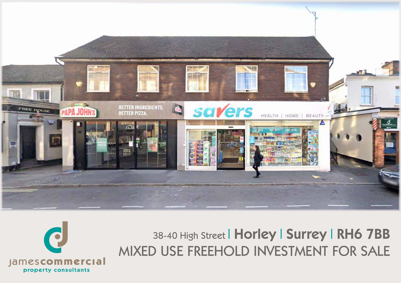

38-40 High Street | Horley | Surrey | RH6 7BB MIXED USE FREEHOLD INVESTMENT FOR SALE